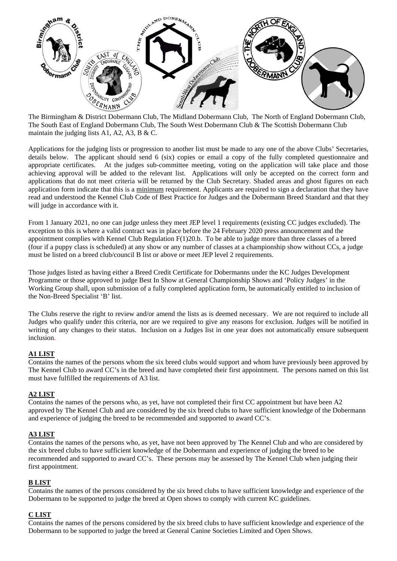

The Birmingham & District Dobermann Club, The Midland Dobermann Club, The North of England Dobermann Club, The South East of England Dobermann Club, The South West Dobermann Club & The Scottish Dobermann Club maintain the judging lists A1, A2, A3, B & C.

Applications for the judging lists or progression to another list must be made to any one of the above Clubs' Secretaries, details below. The applicant should send 6 (six) copies or email a copy of the fully completed questionnaire and appropriate certificates. At the judges sub-committee meeting, voting on the application will take place and those achieving approval will be added to the relevant list. Applications will only be accepted on the correct form and applications that do not meet criteria will be returned by the Club Secretary. Shaded areas and ghost figures on each application form indicate that this is a minimum requirement. Applicants are required to sign a declaration that they have read and understood the Kennel Club Code of Best Practice for Judges and the Dobermann Breed Standard and that they will judge in accordance with it.

From 1 January 2021, no one can judge unless they meet JEP level 1 requirements (existing CC judges excluded). The exception to this is where a valid contract was in place before the 24 February 2020 press announcement and the appointment complies with Kennel Club Regulation F(1)20.b. To be able to judge more than three classes of a breed (four if a puppy class is scheduled) at any show or any number of classes at a championship show without CCs, a judge must be listed on a breed club/council B list or above or meet JEP level 2 requirements.

Those judges listed as having either a Breed Credit Certificate for Dobermanns under the KC Judges Development Programme or those approved to judge Best In Show at General Championship Shows and 'Policy Judges' in the Working Group shall, upon submission of a fully completed application form, be automatically entitled to inclusion of the Non-Breed Specialist 'B' list.

The Clubs reserve the right to review and/or amend the lists as is deemed necessary. We are not required to include all Judges who qualify under this criteria, nor are we required to give any reasons for exclusion. Judges will be notified in writing of any changes to their status. Inclusion on a Judges list in one year does not automatically ensure subsequent inclusion.

# **A1 LIST**

Contains the names of the persons whom the six breed clubs would support and whom have previously been approved by The Kennel Club to award CC's in the breed and have completed their first appointment. The persons named on this list must have fulfilled the requirements of A3 list.

#### **A2 LIST**

Contains the names of the persons who, as yet, have not completed their first CC appointment but have been A2 approved by The Kennel Club and are considered by the six breed clubs to have sufficient knowledge of the Dobermann and experience of judging the breed to be recommended and supported to award CC's.

### **A3 LIST**

Contains the names of the persons who, as yet, have not been approved by The Kennel Club and who are considered by the six breed clubs to have sufficient knowledge of the Dobermann and experience of judging the breed to be recommended and supported to award CC's. These persons may be assessed by The Kennel Club when judging their first appointment.

#### **B LIST**

Contains the names of the persons considered by the six breed clubs to have sufficient knowledge and experience of the Dobermann to be supported to judge the breed at Open shows to comply with current KC guidelines.

### **C LIST**

Contains the names of the persons considered by the six breed clubs to have sufficient knowledge and experience of the Dobermann to be supported to judge the breed at General Canine Societies Limited and Open Shows.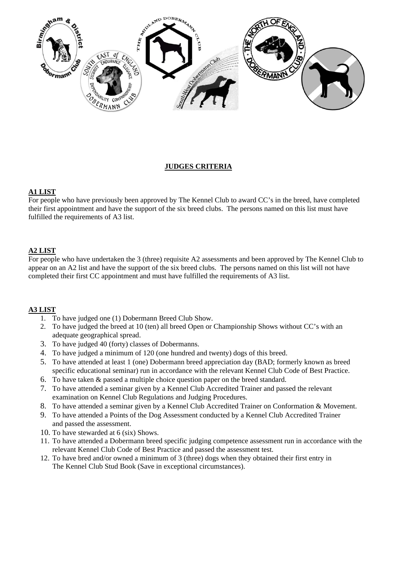

# **JUDGES CRITERIA**

### **A1 LIST**

For people who have previously been approved by The Kennel Club to award CC's in the breed, have completed their first appointment and have the support of the six breed clubs. The persons named on this list must have fulfilled the requirements of A3 list.

## **A2 LIST**

For people who have undertaken the 3 (three) requisite A2 assessments and been approved by The Kennel Club to appear on an A2 list and have the support of the six breed clubs. The persons named on this list will not have completed their first CC appointment and must have fulfilled the requirements of A3 list.

#### **A3 LIST**

- 1. To have judged one (1) Dobermann Breed Club Show.
- 2. To have judged the breed at 10 (ten) all breed Open or Championship Shows without CC's with an adequate geographical spread.
- 3. To have judged 40 (forty) classes of Dobermanns.
- 4. To have judged a minimum of 120 (one hundred and twenty) dogs of this breed.
- 5. To have attended at least 1 (one) Dobermann breed appreciation day (BAD; formerly known as breed specific educational seminar) run in accordance with the relevant Kennel Club Code of Best Practice.
- 6. To have taken & passed a multiple choice question paper on the breed standard.
- 7. To have attended a seminar given by a Kennel Club Accredited Trainer and passed the relevant examination on Kennel Club Regulations and Judging Procedures.
- 8. To have attended a seminar given by a Kennel Club Accredited Trainer on Conformation & Movement.
- 9. To have attended a Points of the Dog Assessment conducted by a Kennel Club Accredited Trainer and passed the assessment.
- 10. To have stewarded at 6 (six) Shows.
- 11. To have attended a Dobermann breed specific judging competence assessment run in accordance with the relevant Kennel Club Code of Best Practice and passed the assessment test.
- 12. To have bred and/or owned a minimum of 3 (three) dogs when they obtained their first entry in The Kennel Club Stud Book (Save in exceptional circumstances).